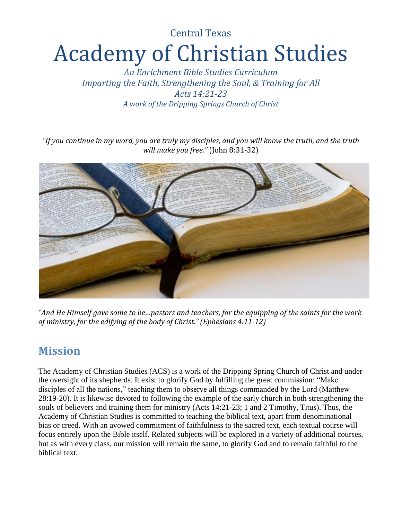# Central Texas Academy of Christian Studies

*An Enrichment Bible Studies Curriculum Imparting the Faith, Strengthening the Soul, & Training for All Acts 14:21-23 A work of the Dripping Springs Church of Christ*

*"If you continue in my word, you are truly my disciples, and you will know the truth, and the truth will make you free."* (John 8:31-32)



*"And He Himself gave some to be…pastors and teachers, for the equipping of the saints for the work of ministry, for the edifying of the body of Christ." (Ephesians 4:11-12)*

### **Mission**

The Academy of Christian Studies (ACS) is a work of the Dripping Spring Church of Christ and under the oversight of its shepherds. It exist to glorify God by fulfilling the great commission: "Make disciples of all the nations," teaching them to observe all things commanded by the Lord (Matthew 28:19-20). It is likewise devoted to following the example of the early church in both strengthening the souls of believers and training them for ministry (Acts 14:21-23; 1 and 2 Timothy, Titus). Thus, the Academy of Christian Studies is committed to teaching the biblical text, apart from denominational bias or creed. With an avowed commitment of faithfulness to the sacred text, each textual course will focus entirely upon the Bible itself. Related subjects will be explored in a variety of additional courses, but as with every class, our mission will remain the same, to glorify God and to remain faithful to the biblical text.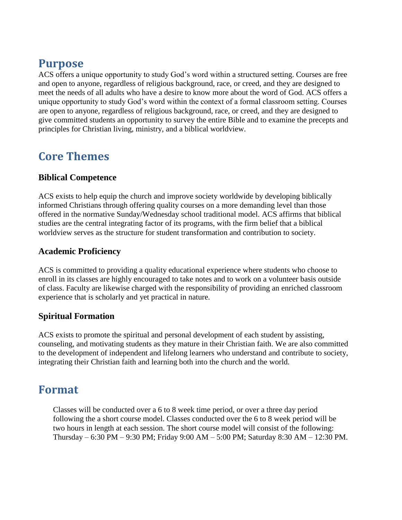### **Purpose**

ACS offers a unique opportunity to study God's word within a structured setting. Courses are free and open to anyone, regardless of religious background, race, or creed, and they are designed to meet the needs of all adults who have a desire to know more about the word of God. ACS offers a unique opportunity to study God's word within the context of a formal classroom setting. Courses are open to anyone, regardless of religious background, race, or creed, and they are designed to give committed students an opportunity to survey the entire Bible and to examine the precepts and principles for Christian living, ministry, and a biblical worldview.

#### **Core Themes**

#### **Biblical Competence**

ACS exists to help equip the church and improve society worldwide by developing biblically informed Christians through offering quality courses on a more demanding level than those offered in the normative Sunday/Wednesday school traditional model. ACS affirms that biblical studies are the central integrating factor of its programs, with the firm belief that a biblical worldview serves as the structure for student transformation and contribution to society.

#### **Academic Proficiency**

ACS is committed to providing a quality educational experience where students who choose to enroll in its classes are highly encouraged to take notes and to work on a volunteer basis outside of class. Faculty are likewise charged with the responsibility of providing an enriched classroom experience that is scholarly and yet practical in nature.

#### **Spiritual Formation**

ACS exists to promote the spiritual and personal development of each student by assisting, counseling, and motivating students as they mature in their Christian faith. We are also committed to the development of independent and lifelong learners who understand and contribute to society, integrating their Christian faith and learning both into the church and the world.

#### **Format**

Classes will be conducted over a 6 to 8 week time period, or over a three day period following the a short course model. Classes conducted over the 6 to 8 week period will be two hours in length at each session. The short course model will consist of the following: Thursday – 6:30 PM – 9:30 PM; Friday 9:00 AM – 5:00 PM; Saturday 8:30 AM – 12:30 PM.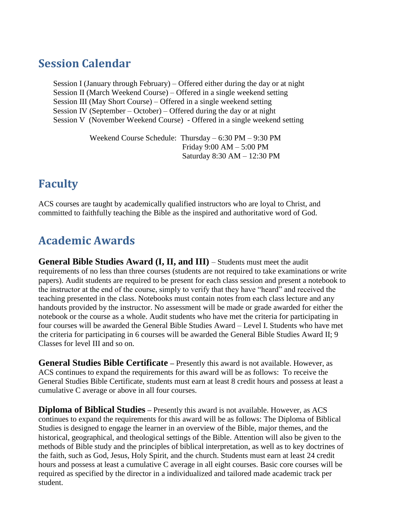### **Session Calendar**

Session I (January through February) – Offered either during the day or at night Session II (March Weekend Course) – Offered in a single weekend setting Session III (May Short Course) – Offered in a single weekend setting Session IV (September – October) – Offered during the day or at night Session V (November Weekend Course) - Offered in a single weekend setting

> Weekend Course Schedule: Thursday – 6:30 PM – 9:30 PM Friday 9:00 AM – 5:00 PM Saturday 8:30 AM – 12:30 PM

### **Faculty**

ACS courses are taught by academically qualified instructors who are loyal to Christ, and committed to faithfully teaching the Bible as the inspired and authoritative word of God.

### **Academic Awards**

**General Bible Studies Award (I, II, and III)** – Students must meet the audit requirements of no less than three courses (students are not required to take examinations or write papers). Audit students are required to be present for each class session and present a notebook to the instructor at the end of the course, simply to verify that they have "heard" and received the teaching presented in the class. Notebooks must contain notes from each class lecture and any handouts provided by the instructor. No assessment will be made or grade awarded for either the notebook or the course as a whole. Audit students who have met the criteria for participating in four courses will be awarded the General Bible Studies Award – Level I. Students who have met the criteria for participating in 6 courses will be awarded the General Bible Studies Award II; 9 Classes for level III and so on.

General Studies Bible Certificate - Presently this award is not available. However, as ACS continues to expand the requirements for this award will be as follows: To receive the General Studies Bible Certificate, students must earn at least 8 credit hours and possess at least a cumulative C average or above in all four courses.

**Diploma of Biblical Studies** – Presently this award is not available. However, as ACS continues to expand the requirements for this award will be as follows: The Diploma of Biblical Studies is designed to engage the learner in an overview of the Bible, major themes, and the historical, geographical, and theological settings of the Bible. Attention will also be given to the methods of Bible study and the principles of biblical interpretation, as well as to key doctrines of the faith, such as God, Jesus, Holy Spirit, and the church. Students must earn at least 24 credit hours and possess at least a cumulative C average in all eight courses. Basic core courses will be required as specified by the director in a individualized and tailored made academic track per student.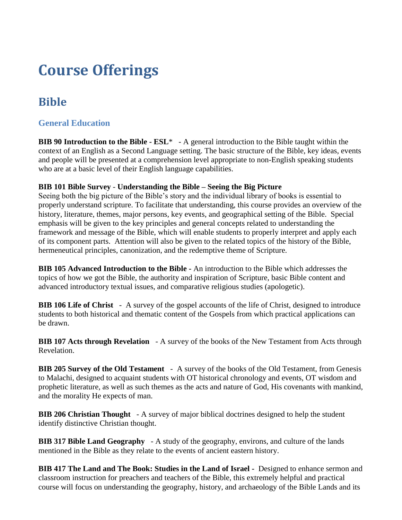## **Course Offerings**

### **Bible**

#### **General Education**

**BIB 90 Introduction to the Bible - ESL**\* - A general introduction to the Bible taught within the context of an English as a Second Language setting. The basic structure of the Bible, key ideas, events and people will be presented at a comprehension level appropriate to non-English speaking students who are at a basic level of their English language capabilities.

#### **BIB 101 Bible Survey** - **Understanding the Bible – Seeing the Big Picture**

Seeing both the big picture of the Bible's story and the individual library of books is essential to properly understand scripture. To facilitate that understanding, this course provides an overview of the history, literature, themes, major persons, key events, and geographical setting of the Bible. Special emphasis will be given to the key principles and general concepts related to understanding the framework and message of the Bible, which will enable students to properly interpret and apply each of its component parts. Attention will also be given to the related topics of the history of the Bible, hermeneutical principles, canonization, and the redemptive theme of Scripture.

**BIB 105 Advanced Introduction to the Bible -** An introduction to the Bible which addresses the topics of how we got the Bible, the authority and inspiration of Scripture, basic Bible content and advanced introductory textual issues, and comparative religious studies (apologetic).

**BIB 106 Life of Christ** - A survey of the gospel accounts of the life of Christ, designed to introduce students to both historical and thematic content of the Gospels from which practical applications can be drawn.

**BIB 107 Acts through Revelation** - A survey of the books of the New Testament from Acts through Revelation.

**BIB 205 Survey of the Old Testament** - A survey of the books of the Old Testament, from Genesis to Malachi, designed to acquaint students with OT historical chronology and events, OT wisdom and prophetic literature, as well as such themes as the acts and nature of God, His covenants with mankind, and the morality He expects of man.

**BIB 206 Christian Thought** - A survey of major biblical doctrines designed to help the student identify distinctive Christian thought.

**BIB 317 Bible Land Geography** - A study of the geography, environs, and culture of the lands mentioned in the Bible as they relate to the events of ancient eastern history.

**BIB 417 The Land and The Book: Studies in the Land of Israel -** Designed to enhance sermon and classroom instruction for preachers and teachers of the Bible, this extremely helpful and practical course will focus on understanding the geography, history, and archaeology of the Bible Lands and its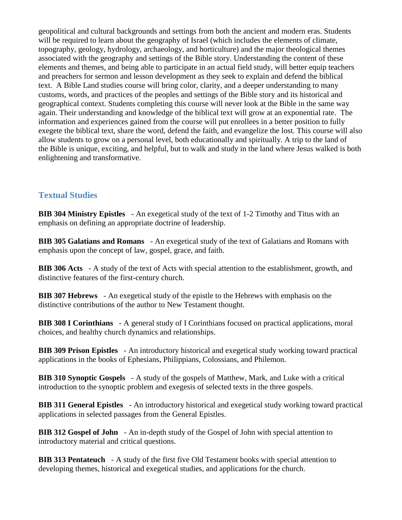geopolitical and cultural backgrounds and settings from both the ancient and modern eras. Students will be required to learn about the geography of Israel (which includes the elements of climate, topography, geology, hydrology, archaeology, and horticulture) and the major theological themes associated with the geography and settings of the Bible story. Understanding the content of these elements and themes, and being able to participate in an actual field study, will better equip teachers and preachers for sermon and lesson development as they seek to explain and defend the biblical text. A Bible Land studies course will bring color, clarity, and a deeper understanding to many customs, words, and practices of the peoples and settings of the Bible story and its historical and geographical context. Students completing this course will never look at the Bible in the same way again. Their understanding and knowledge of the biblical text will grow at an exponential rate. The information and experiences gained from the course will put enrollees in a better position to fully exegete the biblical text, share the word, defend the faith, and evangelize the lost. This course will also allow students to grow on a personal level, both educationally and spiritually. A trip to the land of the Bible is unique, exciting, and helpful, but to walk and study in the land where Jesus walked is both enlightening and transformative.

#### **Textual Studies**

**BIB 304 Ministry Epistles** - An exegetical study of the text of 1-2 Timothy and Titus with an emphasis on defining an appropriate doctrine of leadership.

**BIB 305 Galatians and Romans** - An exegetical study of the text of Galatians and Romans with emphasis upon the concept of law, gospel, grace, and faith.

**BIB 306 Acts** - A study of the text of Acts with special attention to the establishment, growth, and distinctive features of the first-century church.

**BIB 307 Hebrews** - An exegetical study of the epistle to the Hebrews with emphasis on the distinctive contributions of the author to New Testament thought.

**BIB 308 I Corinthians** - A general study of I Corinthians focused on practical applications, moral choices, and healthy church dynamics and relationships.

**BIB 309 Prison Epistles** - An introductory historical and exegetical study working toward practical applications in the books of Ephesians, Philippians, Colossians, and Philemon.

**BIB 310 Synoptic Gospels** - A study of the gospels of Matthew, Mark, and Luke with a critical introduction to the synoptic problem and exegesis of selected texts in the three gospels.

**BIB 311 General Epistles** - An introductory historical and exegetical study working toward practical applications in selected passages from the General Epistles.

**BIB 312 Gospel of John** - An in-depth study of the Gospel of John with special attention to introductory material and critical questions.

**BIB 313 Pentateuch** - A study of the first five Old Testament books with special attention to developing themes, historical and exegetical studies, and applications for the church.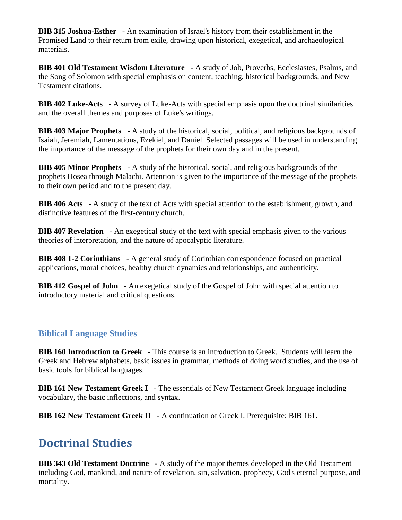**BIB 315 Joshua-Esther** - An examination of Israel's history from their establishment in the Promised Land to their return from exile, drawing upon historical, exegetical, and archaeological materials.

**BIB 401 Old Testament Wisdom Literature** - A study of Job, Proverbs, Ecclesiastes, Psalms, and the Song of Solomon with special emphasis on content, teaching, historical backgrounds, and New Testament citations.

**BIB 402 Luke-Acts** - A survey of Luke-Acts with special emphasis upon the doctrinal similarities and the overall themes and purposes of Luke's writings.

**BIB 403 Major Prophets** - A study of the historical, social, political, and religious backgrounds of Isaiah, Jeremiah, Lamentations, Ezekiel, and Daniel. Selected passages will be used in understanding the importance of the message of the prophets for their own day and in the present.

**BIB 405 Minor Prophets** - A study of the historical, social, and religious backgrounds of the prophets Hosea through Malachi. Attention is given to the importance of the message of the prophets to their own period and to the present day.

**BIB 406 Acts** - A study of the text of Acts with special attention to the establishment, growth, and distinctive features of the first-century church.

**BIB 407 Revelation** - An exegetical study of the text with special emphasis given to the various theories of interpretation, and the nature of apocalyptic literature.

**BIB 408 1-2 Corinthians** - A general study of Corinthian correspondence focused on practical applications, moral choices, healthy church dynamics and relationships, and authenticity.

**BIB 412 Gospel of John** - An exegetical study of the Gospel of John with special attention to introductory material and critical questions.

#### **Biblical Language Studies**

**BIB 160 Introduction to Greek** - This course is an introduction to Greek. Students will learn the Greek and Hebrew alphabets, basic issues in grammar, methods of doing word studies, and the use of basic tools for biblical languages.

**BIB 161 New Testament Greek I** - The essentials of New Testament Greek language including vocabulary, the basic inflections, and syntax.

**BIB 162 New Testament Greek II** - A continuation of Greek I. Prerequisite: BIB 161.

### **Doctrinal Studies**

**BIB 343 Old Testament Doctrine** - A study of the major themes developed in the Old Testament including God, mankind, and nature of revelation, sin, salvation, prophecy, God's eternal purpose, and mortality.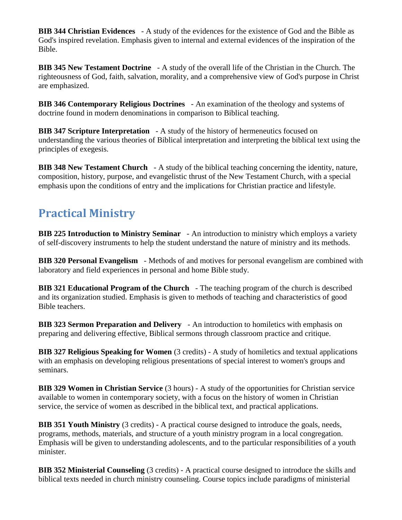**BIB 344 Christian Evidences** - A study of the evidences for the existence of God and the Bible as God's inspired revelation. Emphasis given to internal and external evidences of the inspiration of the Bible.

**BIB 345 New Testament Doctrine** - A study of the overall life of the Christian in the Church. The righteousness of God, faith, salvation, morality, and a comprehensive view of God's purpose in Christ are emphasized.

**BIB 346 Contemporary Religious Doctrines** - An examination of the theology and systems of doctrine found in modern denominations in comparison to Biblical teaching.

**BIB 347 Scripture Interpretation** - A study of the history of hermeneutics focused on understanding the various theories of Biblical interpretation and interpreting the biblical text using the principles of exegesis.

**BIB 348 New Testament Church** - A study of the biblical teaching concerning the identity, nature, composition, history, purpose, and evangelistic thrust of the New Testament Church, with a special emphasis upon the conditions of entry and the implications for Christian practice and lifestyle.

### **Practical Ministry**

**BIB 225 Introduction to Ministry Seminar** - An introduction to ministry which employs a variety of self-discovery instruments to help the student understand the nature of ministry and its methods.

**BIB 320 Personal Evangelism** - Methods of and motives for personal evangelism are combined with laboratory and field experiences in personal and home Bible study.

**BIB 321 Educational Program of the Church** - The teaching program of the church is described and its organization studied. Emphasis is given to methods of teaching and characteristics of good Bible teachers.

**BIB 323 Sermon Preparation and Delivery** - An introduction to homiletics with emphasis on preparing and delivering effective, Biblical sermons through classroom practice and critique.

**BIB 327 Religious Speaking for Women** (3 credits) - A study of homiletics and textual applications with an emphasis on developing religious presentations of special interest to women's groups and seminars.

**BIB 329 Women in Christian Service** (3 hours) - A study of the opportunities for Christian service available to women in contemporary society, with a focus on the history of women in Christian service, the service of women as described in the biblical text, and practical applications.

**BIB 351 Youth Ministry** (3 credits) - A practical course designed to introduce the goals, needs, programs, methods, materials, and structure of a youth ministry program in a local congregation. Emphasis will be given to understanding adolescents, and to the particular responsibilities of a youth minister.

**BIB 352 Ministerial Counseling** (3 credits) - A practical course designed to introduce the skills and biblical texts needed in church ministry counseling. Course topics include paradigms of ministerial